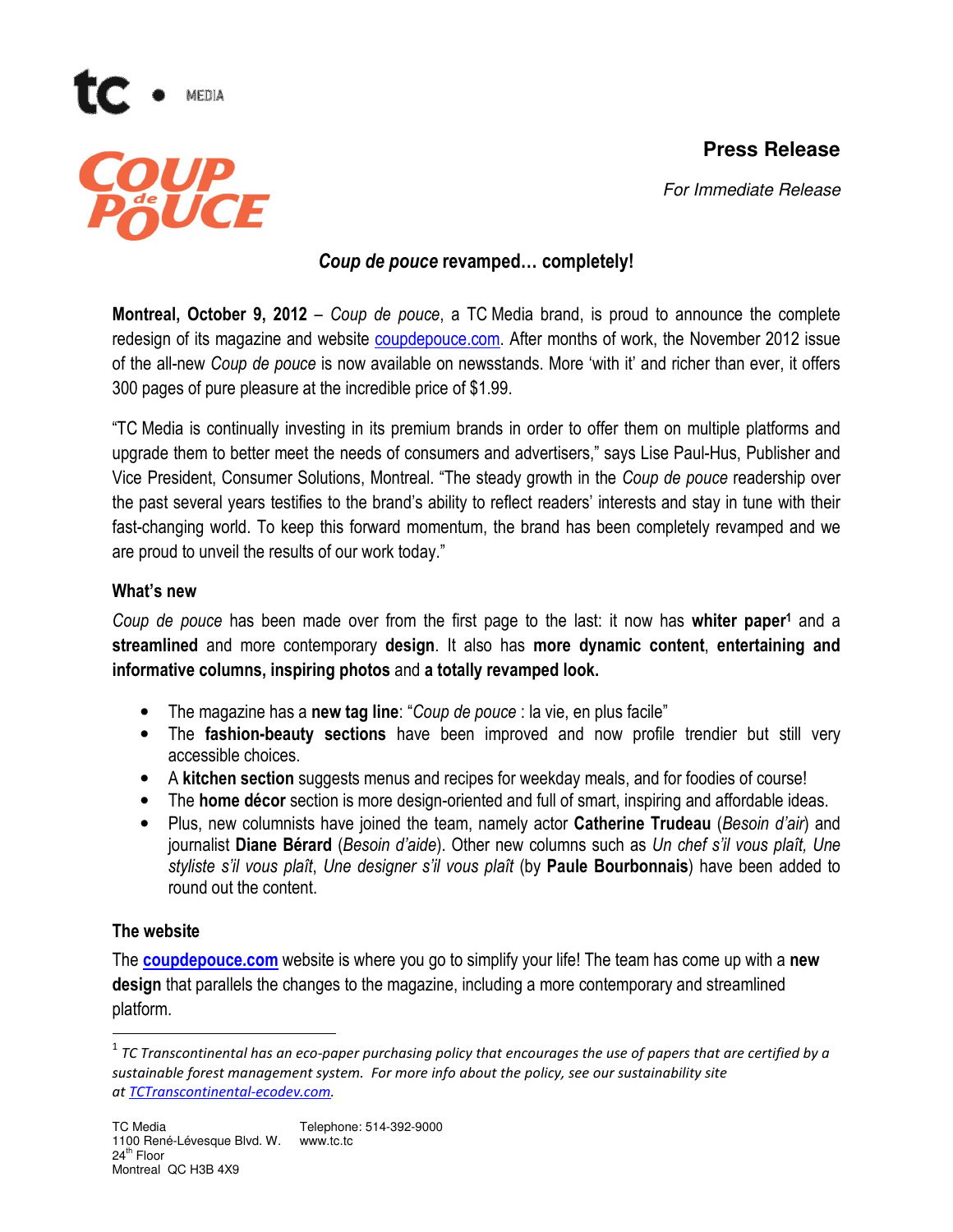# **Press Release**



For Immediate Release

## Coup de pouce revamped… completely!

**Montreal, October 9, 2012** – Coup de pouce, a TC Media brand, is proud to announce the complete redesign of its magazine and website coupdepouce.com. After months of work, the November 2012 issue of the all-new Coup de pouce is now available on newsstands. More 'with it' and richer than ever, it offers 300 pages of pure pleasure at the incredible price of \$1.99.

"TC Media is continually investing in its premium brands in order to offer them on multiple platforms and upgrade them to better meet the needs of consumers and advertisers," says Lise Paul-Hus, Publisher and Vice President, Consumer Solutions, Montreal. "The steady growth in the Coup de pouce readership over the past several years testifies to the brand's ability to reflect readers' interests and stay in tune with their fast-changing world. To keep this forward momentum, the brand has been completely revamped and we are proud to unveil the results of our work today."

#### What's new

Coup de pouce has been made over from the first page to the last: it now has whiter paper<sup>1</sup> and a streamlined and more contemporary design. It also has more dynamic content, entertaining and informative columns, inspiring photos and a totally revamped look.

- The magazine has a new tag line: "Coup de pouce : la vie, en plus facile"
- The fashion-beauty sections have been improved and now profile trendier but still very accessible choices.
- A kitchen section suggests menus and recipes for weekday meals, and for foodies of course!
- The **home décor** section is more design-oriented and full of smart, inspiring and affordable ideas.
- Plus, new columnists have joined the team, namely actor **Catherine Trudeau** (Besoin d'air) and journalist Diane Bérard (Besoin d'aide). Other new columns such as Un chef s'il vous plaît, Une styliste s'il vous plaît, Une designer s'il vous plaît (by Paule Bourbonnais) have been added to round out the content.

## The website

l

The **coupdepouce.com** website is where you go to simplify your life! The team has come up with a new design that parallels the changes to the magazine, including a more contemporary and streamlined platform.

 $^{\rm 1}$  TC Transcontinental has an eco-paper purchasing policy that encourages the use of papers that are certified by a sustainable forest management system. For more info about the policy, see our sustainability site at TCTranscontinental-ecodev.com.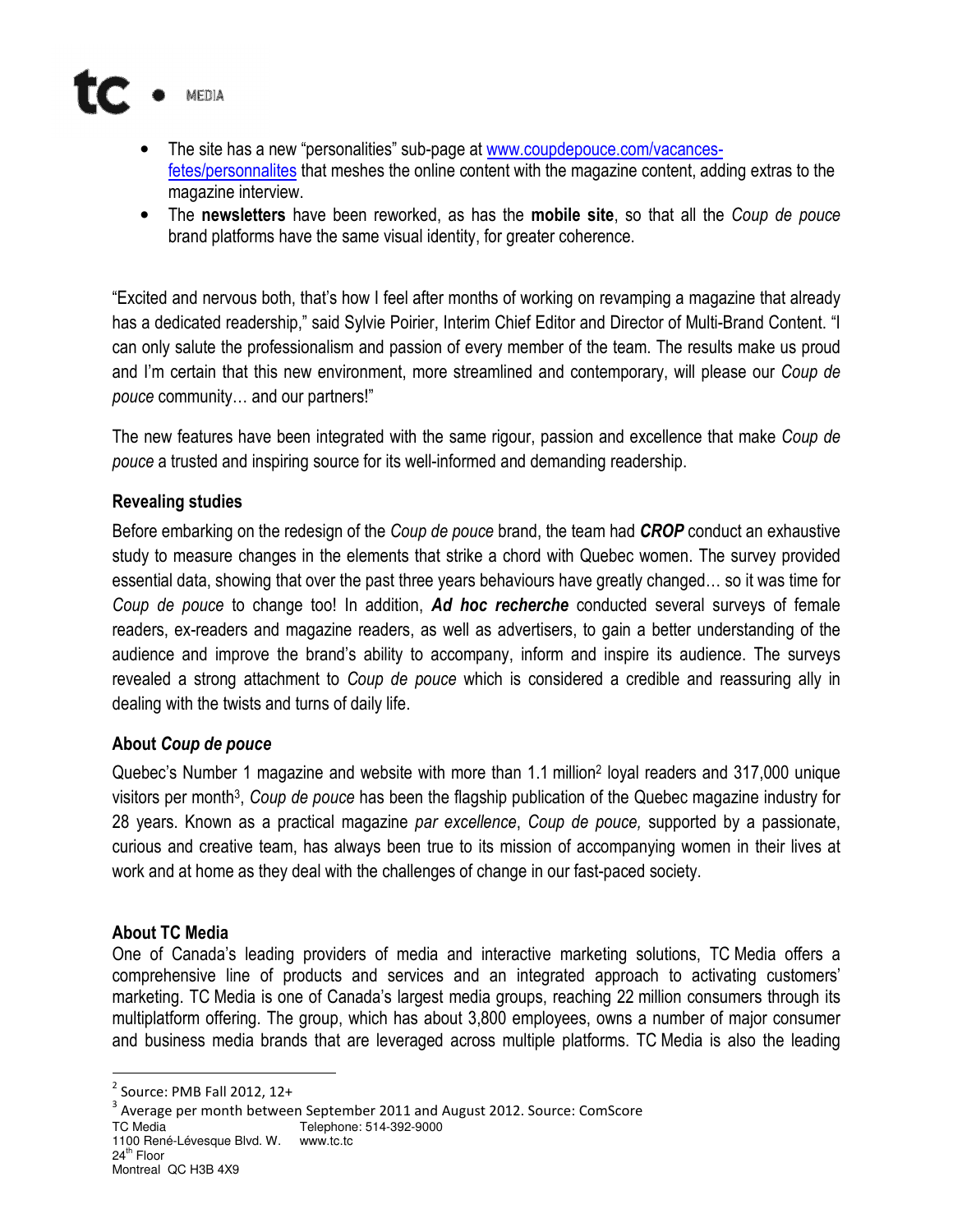

- The site has a new "personalities" sub-page at www.coupdepouce.com/vacancesfetes/personnalites that meshes the online content with the magazine content, adding extras to the magazine interview.
- The newsletters have been reworked, as has the mobile site, so that all the Coup de pouce brand platforms have the same visual identity, for greater coherence.

"Excited and nervous both, that's how I feel after months of working on revamping a magazine that already has a dedicated readership," said Sylvie Poirier, Interim Chief Editor and Director of Multi-Brand Content. "I can only salute the professionalism and passion of every member of the team. The results make us proud and I'm certain that this new environment, more streamlined and contemporary, will please our Coup de pouce community… and our partners!"

The new features have been integrated with the same rigour, passion and excellence that make Coup de pouce a trusted and inspiring source for its well-informed and demanding readership.

## Revealing studies

Before embarking on the redesign of the Coup de pouce brand, the team had **CROP** conduct an exhaustive study to measure changes in the elements that strike a chord with Quebec women. The survey provided essential data, showing that over the past three years behaviours have greatly changed… so it was time for Coup de pouce to change too! In addition, Ad hoc recherche conducted several surveys of female readers, ex-readers and magazine readers, as well as advertisers, to gain a better understanding of the audience and improve the brand's ability to accompany, inform and inspire its audience. The surveys revealed a strong attachment to Coup de pouce which is considered a credible and reassuring ally in dealing with the twists and turns of daily life.

#### About Coup de pouce

Quebec's Number 1 magazine and website with more than 1.1 million<sup>2</sup> loyal readers and 317,000 unique visitors per month<sup>3</sup>, Coup de pouce has been the flagship publication of the Quebec magazine industry for 28 years. Known as a practical magazine par excellence, Coup de pouce, supported by a passionate, curious and creative team, has always been true to its mission of accompanying women in their lives at work and at home as they deal with the challenges of change in our fast-paced society.

#### About TC Media

One of Canada's leading providers of media and interactive marketing solutions, TC Media offers a comprehensive line of products and services and an integrated approach to activating customers' marketing. TC Media is one of Canada's largest media groups, reaching 22 million consumers through its multiplatform offering. The group, which has about 3,800 employees, owns a number of major consumer and business media brands that are leveraged across multiple platforms. TC Media is also the leading

- 1100 René-Lévesque Blvd. W. www.tc.tc
- 24<sup>th</sup> Floor

 $\overline{a}$ 

 $2$  Source: PMB Fall 2012, 12+

 $^3$  Average per month between September 2011 and August 2012. Source: ComScore

TC Media Telephone: 514-392-9000

Montreal QC H3B 4X9